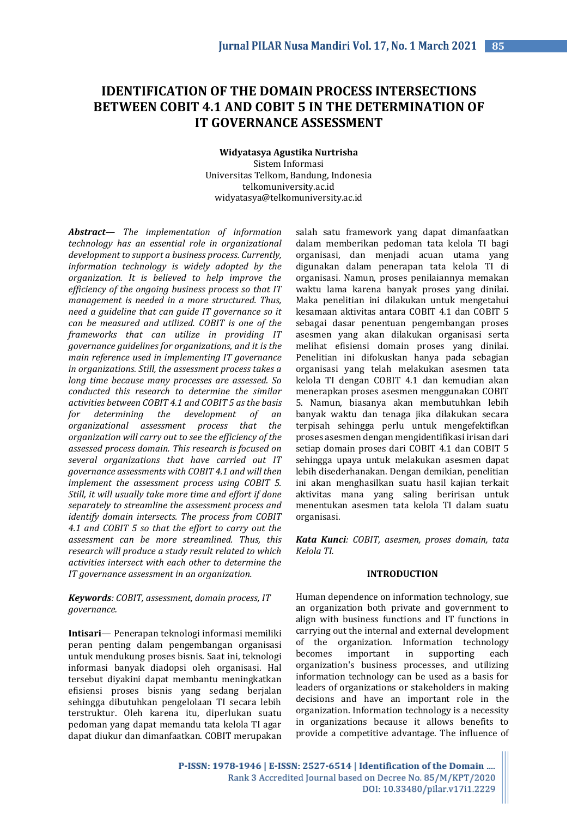# **IDENTIFICATION OF THE DOMAIN PROCESS INTERSECTIONS BETWEEN COBIT 4.1 AND COBIT 5 IN THE DETERMINATION OF IT GOVERNANCE ASSESSMENT**

**Widyatasya Agustika Nurtrisha** Sistem Informasi Universitas Telkom, Bandung, Indonesia telkomuniversity.ac.id widyatasya@telkomuniversity.ac.id

*Abstract— The implementation of information technology has an essential role in organizational development to support a business process. Currently, information technology is widely adopted by the organization. It is believed to help improve the efficiency of the ongoing business process so that IT management is needed in a more structured. Thus, need a guideline that can guide IT governance so it can be measured and utilized. COBIT is one of the frameworks that can utilize in providing IT governance guidelines for organizations, and it is the main reference used in implementing IT governance in organizations. Still, the assessment process takes a long time because many processes are assessed. So conducted this research to determine the similar activities between COBIT 4.1 and COBIT 5 as the basis for determining the development of an organizational assessment process that the organization will carry out to see the efficiency of the assessed process domain. This research is focused on several organizations that have carried out IT governance assessments with COBIT 4.1 and will then implement the assessment process using COBIT 5. Still, it will usually take more time and effort if done separately to streamline the assessment process and identify domain intersects. The process from COBIT 4.1 and COBIT 5 so that the effort to carry out the assessment can be more streamlined. Thus, this research will produce a study result related to which activities intersect with each other to determine the IT governance assessment in an organization.*

## *Keywords: COBIT, assessment, domain process, IT governance.*

**Intisari***—* Penerapan teknologi informasi memiliki peran penting dalam pengembangan organisasi untuk mendukung proses bisnis. Saat ini, teknologi informasi banyak diadopsi oleh organisasi. Hal tersebut diyakini dapat membantu meningkatkan efisiensi proses bisnis yang sedang berjalan sehingga dibutuhkan pengelolaan TI secara lebih terstruktur. Oleh karena itu, diperlukan suatu pedoman yang dapat memandu tata kelola TI agar dapat diukur dan dimanfaatkan. COBIT merupakan

salah satu framework yang dapat dimanfaatkan dalam memberikan pedoman tata kelola TI bagi organisasi, dan menjadi acuan utama yang digunakan dalam penerapan tata kelola TI di organisasi. Namun, proses penilaiannya memakan waktu lama karena banyak proses yang dinilai. Maka penelitian ini dilakukan untuk mengetahui kesamaan aktivitas antara COBIT 4.1 dan COBIT 5 sebagai dasar penentuan pengembangan proses asesmen yang akan dilakukan organisasi serta melihat efisiensi domain proses yang dinilai. Penelitian ini difokuskan hanya pada sebagian organisasi yang telah melakukan asesmen tata kelola TI dengan COBIT 4.1 dan kemudian akan menerapkan proses asesmen menggunakan COBIT 5. Namun, biasanya akan membutuhkan lebih banyak waktu dan tenaga jika dilakukan secara terpisah sehingga perlu untuk mengefektifkan proses asesmen dengan mengidentifikasi irisan dari setiap domain proses dari COBIT 4.1 dan COBIT 5 sehingga upaya untuk melakukan asesmen dapat lebih disederhanakan. Dengan demikian, penelitian ini akan menghasilkan suatu hasil kajian terkait aktivitas mana yang saling beririsan untuk menentukan asesmen tata kelola TI dalam suatu organisasi.

*Kata Kunci: COBIT, asesmen, proses domain, tata Kelola TI.*

#### **INTRODUCTION**

Human dependence on information technology, sue an organization both private and government to align with business functions and IT functions in carrying out the internal and external development of the organization. Information technology becomes important in supporting each organization's business processes, and utilizing information technology can be used as a basis for leaders of organizations or stakeholders in making decisions and have an important role in the organization. Information technology is a necessity in organizations because it allows benefits to provide a competitive advantage. The influence of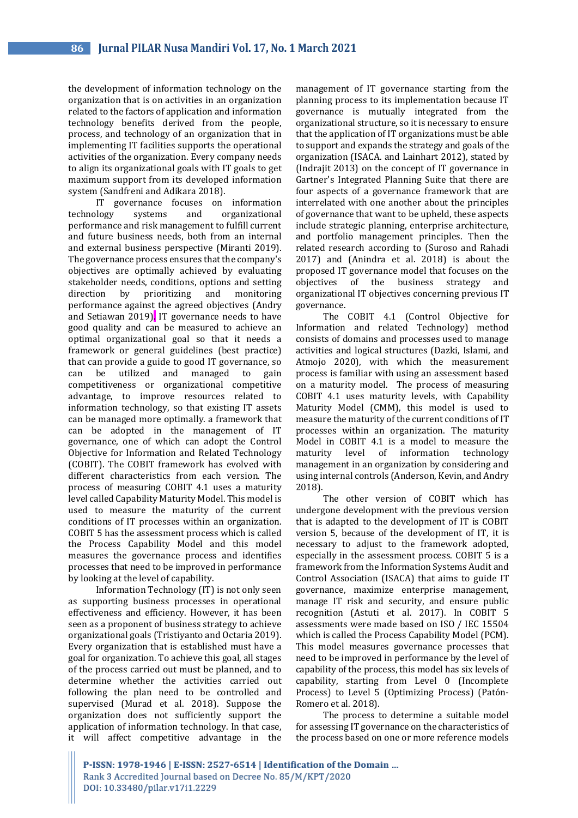the development of information technology on the organization that is on activities in an organization related to the factors of application and information technology benefits derived from the people, process, and technology of an organization that in implementing IT facilities supports the operational activities of the organization. Every company needs to align its organizational goals with IT goals to get maximum support from its developed information system (Sandfreni and Adikara 2018).

IT governance focuses on information technology systems and organizational performance and risk management to fulfill current and future business needs, both from an internal and external business perspective (Miranti 2019). The governance process ensures that the company's objectives are optimally achieved by evaluating stakeholder needs, conditions, options and setting direction by prioritizing and monitoring performance against the agreed objectives (Andry and Setiawan 2019). IT governance needs to have good quality and can be measured to achieve an optimal organizational goal so that it needs a framework or general guidelines (best practice) that can provide a guide to good IT governance, so can be utilized and managed to gain competitiveness or organizational competitive advantage, to improve resources related to information technology, so that existing IT assets can be managed more optimally. a framework that can be adopted in the management of IT governance, one of which can adopt the Control Objective for Information and Related Technology (COBIT). The COBIT framework has evolved with different characteristics from each version. The process of measuring COBIT 4.1 uses a maturity level called Capability Maturity Model. This model is used to measure the maturity of the current conditions of IT processes within an organization. COBIT 5 has the assessment process which is called the Process Capability Model and this model measures the governance process and identifies processes that need to be improved in performance by looking at the level of capability.

Information Technology (IT) is not only seen as supporting business processes in operational effectiveness and efficiency. However, it has been seen as a proponent of business strategy to achieve organizational goals (Tristiyanto and Octaria 2019). Every organization that is established must have a goal for organization. To achieve this goal, all stages of the process carried out must be planned, and to determine whether the activities carried out following the plan need to be controlled and supervised (Murad et al. 2018). Suppose the organization does not sufficiently support the application of information technology. In that case, it will affect competitive advantage in the

management of IT governance starting from the planning process to its implementation because IT governance is mutually integrated from the organizational structure, so it is necessary to ensure that the application of IT organizations must be able to support and expands the strategy and goals of the organization (ISACA. and Lainhart 2012), stated by (Indrajit 2013) on the concept of IT governance in Gartner's Integrated Planning Suite that there are four aspects of a governance framework that are interrelated with one another about the principles of governance that want to be upheld, these aspects include strategic planning, enterprise architecture, and portfolio management principles. Then the related research according to (Suroso and Rahadi 2017) and (Anindra et al. 2018) is about the proposed IT governance model that focuses on the objectives of the business strategy and organizational IT objectives concerning previous IT governance.

The COBIT 4.1 (Control Objective for Information and related Technology) method consists of domains and processes used to manage activities and logical structures (Dazki, Islami, and Atmojo 2020), with which the measurement process is familiar with using an assessment based on a maturity model. The process of measuring COBIT 4.1 uses maturity levels, with Capability Maturity Model (CMM), this model is used to measure the maturity of the current conditions of IT processes within an organization. The maturity Model in COBIT 4.1 is a model to measure the maturity level of information technology management in an organization by considering and using internal controls (Anderson, Kevin, and Andry 2018).

The other version of COBIT which has undergone development with the previous version that is adapted to the development of IT is COBIT version 5, because of the development of IT, it is necessary to adjust to the framework adopted, especially in the assessment process. COBIT 5 is a framework from the Information Systems Audit and Control Association (ISACA) that aims to guide IT governance, maximize enterprise management, manage IT risk and security, and ensure public recognition (Astuti et al. 2017). In COBIT 5 assessments were made based on ISO / IEC 15504 which is called the Process Capability Model (PCM). This model measures governance processes that need to be improved in performance by the level of capability of the process, this model has six levels of capability, starting from Level 0 (Incomplete Process) to Level 5 (Optimizing Process) (Patón-Romero et al. 2018).

The process to determine a suitable model for assessing IT governance on the characteristics of the process based on one or more reference models

P-ISSN: 1978-1946 | E-ISSN: 2527-6514 | Identification of the Domain ... Rank 3 Accredited Journal based on Decree No. 85/M/KPT/2020 DOI: 10.33480/pilar.v17i1.2229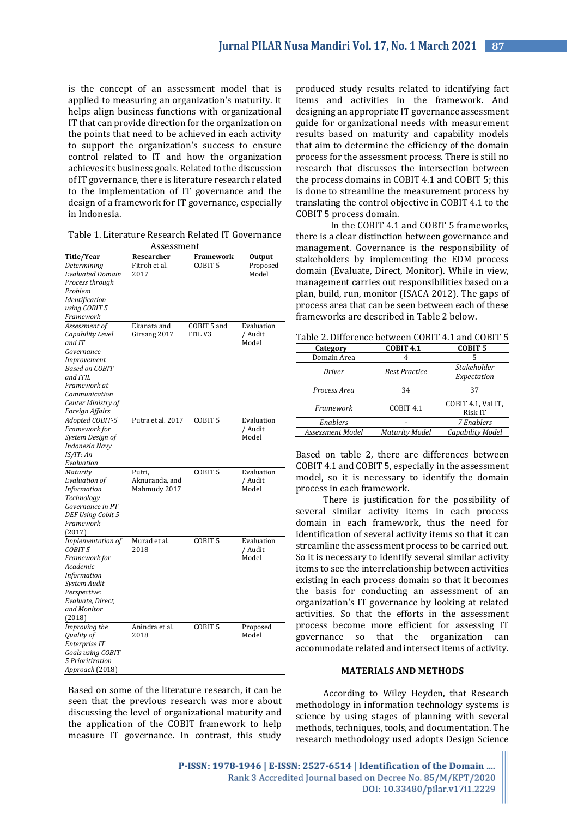is the concept of an assessment model that is applied to measuring an organization's maturity. It helps align business functions with organizational IT that can provide direction for the organization on the points that need to be achieved in each activity to support the organization's success to ensure control related to IT and how the organization achieves its business goals. Related to the discussion of IT governance, there is literature research related to the implementation of IT governance and the design of a framework for IT governance, especially in Indonesia.

| Researcher<br>Title/Year<br>Framework<br>Output<br>Fitroh et al.<br>COBIT <sub>5</sub><br>Determining<br>Proposed<br><b>Evaluated Domain</b><br>Model<br>2017<br>Process through |
|----------------------------------------------------------------------------------------------------------------------------------------------------------------------------------|
|                                                                                                                                                                                  |
|                                                                                                                                                                                  |
|                                                                                                                                                                                  |
|                                                                                                                                                                                  |
| Problem                                                                                                                                                                          |
| Identification                                                                                                                                                                   |
| using COBIT 5                                                                                                                                                                    |
| Framework                                                                                                                                                                        |
| COBIT 5 and<br>Ekanata and<br>Evaluation<br>Assessment of                                                                                                                        |
| <b>ITIL V3</b><br>Capability Level<br>Girsang 2017<br>/ Audit                                                                                                                    |
| and IT<br>Model                                                                                                                                                                  |
| Governance                                                                                                                                                                       |
|                                                                                                                                                                                  |
| Improvement                                                                                                                                                                      |
| Based on COBIT                                                                                                                                                                   |
| and ITIL                                                                                                                                                                         |
| Framework at                                                                                                                                                                     |
| Communication                                                                                                                                                                    |
| Center Ministry of                                                                                                                                                               |
| Foreign Affairs                                                                                                                                                                  |
| Putra et al. 2017<br>COBIT <sub>5</sub><br>Adopted COBIT-5<br>Evaluation                                                                                                         |
| Framework for<br>/ Audit                                                                                                                                                         |
| System Design of<br>Model                                                                                                                                                        |
| Indonesia Navy                                                                                                                                                                   |
| IS/IT: An                                                                                                                                                                        |
| Evaluation                                                                                                                                                                       |
| COBIT <sub>5</sub><br>Putri,<br>Evaluation<br>Maturity                                                                                                                           |
| <b>Evaluation of</b><br>Aknuranda, and<br>/ Audit                                                                                                                                |
| <b>Information</b><br>Model<br>Mahmudy 2017                                                                                                                                      |
| Technology                                                                                                                                                                       |
| Governance in PT                                                                                                                                                                 |
| DEF Using Cobit 5                                                                                                                                                                |
| Framework                                                                                                                                                                        |
| (2017)                                                                                                                                                                           |
| COBIT <sub>5</sub><br>Murad et al.<br>Evaluation<br>Implementation of                                                                                                            |
| COBIT <sub>5</sub><br>/ Audit<br>2018                                                                                                                                            |
| Model<br>Framework for                                                                                                                                                           |
| Academic                                                                                                                                                                         |
| <i>Information</i>                                                                                                                                                               |
| System Audit                                                                                                                                                                     |
| Perspective:                                                                                                                                                                     |
| Evaluate, Direct,                                                                                                                                                                |
| and Monitor                                                                                                                                                                      |
| (2018)                                                                                                                                                                           |
| Anindra et al.<br>COBIT <sub>5</sub><br>Proposed<br>Improving the                                                                                                                |
| Model<br>Quality of<br>2018                                                                                                                                                      |
| Enterprise IT                                                                                                                                                                    |
| <b>Goals using COBIT</b>                                                                                                                                                         |
| 5 Prioritization                                                                                                                                                                 |
| Approach (2018)                                                                                                                                                                  |

Based on some of the literature research, it can be seen that the previous research was more about discussing the level of organizational maturity and the application of the COBIT framework to help measure IT governance. In contrast, this study

produced study results related to identifying fact items and activities in the framework. And designing an appropriate IT governance assessment guide for organizational needs with measurement results based on maturity and capability models that aim to determine the efficiency of the domain process for the assessment process. There is still no research that discusses the intersection between the process domains in COBIT 4.1 and COBIT 5; this is done to streamline the measurement process by translating the control objective in COBIT 4.1 to the COBIT 5 process domain.

In the COBIT 4.1 and COBIT 5 frameworks, there is a clear distinction between governance and management. Governance is the responsibility of stakeholders by implementing the EDM process domain (Evaluate, Direct, Monitor). While in view, management carries out responsibilities based on a plan, build, run, monitor (ISACA 2012). The gaps of process area that can be seen between each of these frameworks are described in Table 2 below.

| Category         | <b>COBIT 4.1</b>      | <b>COBIT 5</b>                |
|------------------|-----------------------|-------------------------------|
| Domain Area      | 4                     |                               |
| Driver           | <b>Best Practice</b>  | <b>Stakeholder</b>            |
|                  |                       | Expectation                   |
| Process Area     | 34                    | 37                            |
| Framework        | COBIT <sub>4.1</sub>  | COBIT 4.1, Val IT,<br>Risk IT |
| Enablers         |                       | 7 Enablers                    |
| Assessment Model | <b>Maturity Model</b> | Capability Model              |

Based on table 2, there are differences between COBIT 4.1 and COBIT 5, especially in the assessment model, so it is necessary to identify the domain process in each framework.

There is justification for the possibility of several similar activity items in each process domain in each framework, thus the need for identification of several activity items so that it can streamline the assessment process to be carried out. So it is necessary to identify several similar activity items to see the interrelationship between activities existing in each process domain so that it becomes the basis for conducting an assessment of an organization's IT governance by looking at related activities. So that the efforts in the assessment process become more efficient for assessing IT governance so that the organization can accommodate related and intersect items of activity.

#### **MATERIALS AND METHODS**

According to Wiley Heyden, that Research methodology in information technology systems is science by using stages of planning with several methods, techniques, tools, and documentation. The research methodology used adopts Design Science

P-ISSN: 1978-1946 | E-ISSN: 2527-6514 | Identification of the Domain .... Rank 3 Accredited Journal based on Decree No. 85/M/KPT/2020 DOI: 10.33480/pilar.v17i1.2229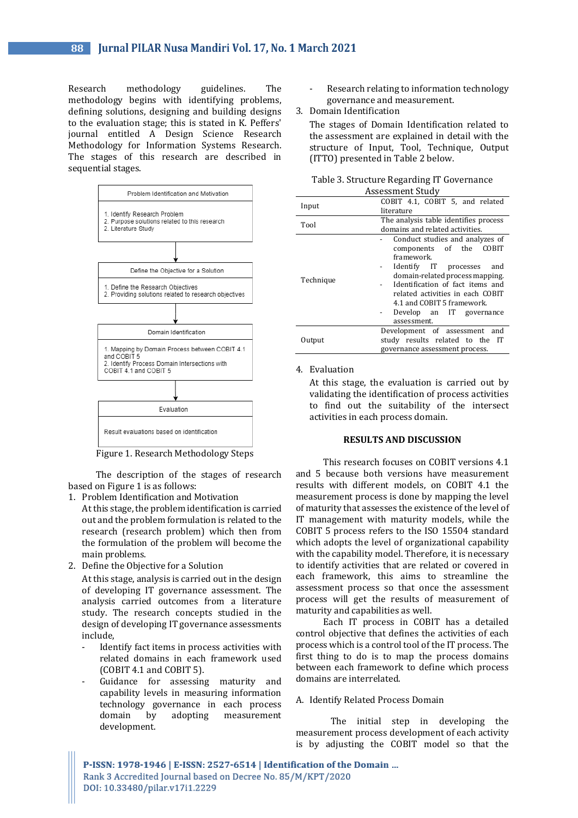Research methodology guidelines. The methodology begins with identifying problems, defining solutions, designing and building designs to the evaluation stage; this is stated in K. Peffers' journal entitled A Design Science Research Methodology for Information Systems Research. The stages of this research are described in sequential stages.



Figure 1. Research Methodology Steps

The description of the stages of research based on Figure 1 is as follows:

1. Problem Identification and Motivation

- At this stage, the problem identification is carried out and the problem formulation is related to the research (research problem) which then from the formulation of the problem will become the main problems.
- 2. Define the Objective for a Solution

At this stage, analysis is carried out in the design of developing IT governance assessment. The analysis carried outcomes from a literature study. The research concepts studied in the design of developing IT governance assessments include,

- Identify fact items in process activities with related domains in each framework used (COBIT 4.1 and COBIT 5).
- Guidance for assessing maturity and capability levels in measuring information technology governance in each process domain by adopting measurement development.
- Research relating to information technology governance and measurement.
- 3. Domain Identification

The stages of Domain Identification related to the assessment are explained in detail with the structure of Input, Tool, Technique, Output (ITTO) presented in Table 2 below.

| Table 3. Structure Regarding IT Governance |  |  |
|--------------------------------------------|--|--|
| Assessment Study                           |  |  |

| Input     | COBIT 4.1, COBIT 5, and related                                                                                                                                                                                                                                                              |  |  |
|-----------|----------------------------------------------------------------------------------------------------------------------------------------------------------------------------------------------------------------------------------------------------------------------------------------------|--|--|
|           | literature                                                                                                                                                                                                                                                                                   |  |  |
| Tool      | The analysis table identifies process<br>domains and related activities.                                                                                                                                                                                                                     |  |  |
|           |                                                                                                                                                                                                                                                                                              |  |  |
| Technique | Conduct studies and analyzes of<br>components of the COBIT<br>framework.<br>Identify IT processes<br>and<br>domain-related process mapping.<br>Identification of fact items and<br>related activities in each COBIT<br>4.1 and COBIT 5 framework.<br>Develop an IT governance<br>assessment. |  |  |
| Output    | Development of assessment and<br>study results related to the IT<br>governance assessment process.                                                                                                                                                                                           |  |  |

#### 4. Evaluation

At this stage, the evaluation is carried out by validating the identification of process activities to find out the suitability of the intersect activities in each process domain.

#### **RESULTS AND DISCUSSION**

This research focuses on COBIT versions 4.1 and 5 because both versions have measurement results with different models, on COBIT 4.1 the measurement process is done by mapping the level of maturity that assesses the existence of the level of IT management with maturity models, while the COBIT 5 process refers to the ISO 15504 standard which adopts the level of organizational capability with the capability model. Therefore, it is necessary to identify activities that are related or covered in each framework, this aims to streamline the assessment process so that once the assessment process will get the results of measurement of maturity and capabilities as well.

Each IT process in COBIT has a detailed control objective that defines the activities of each process which is a control tool of the IT process. The first thing to do is to map the process domains between each framework to define which process domains are interrelated.

#### A. Identify Related Process Domain

The initial step in developing the measurement process development of each activity is by adjusting the COBIT model so that the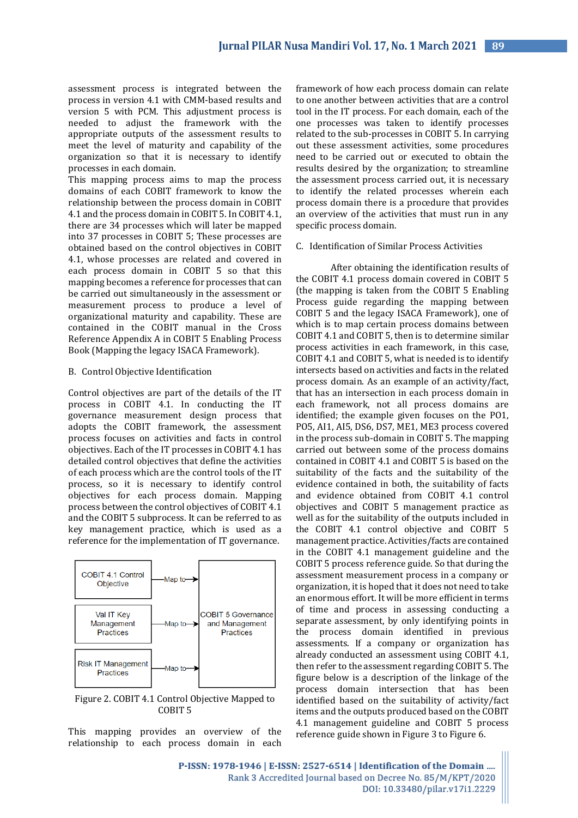assessment process is integrated between the process in version 4.1 with CMM-based results and version 5 with PCM. This adjustment process is needed to adjust the framework with the appropriate outputs of the assessment results to meet the level of maturity and capability of the organization so that it is necessary to identify processes in each domain.

This mapping process aims to map the process domains of each COBIT framework to know the relationship between the process domain in COBIT 4.1 and the process domain in COBIT 5. In COBIT 4.1, there are 34 processes which will later be mapped into 37 processes in COBIT 5; These processes are obtained based on the control objectives in COBIT 4.1, whose processes are related and covered in each process domain in COBIT 5 so that this mapping becomes a reference for processes that can be carried out simultaneously in the assessment or measurement process to produce a level of organizational maturity and capability. These are contained in the COBIT manual in the Cross Reference Appendix A in COBIT 5 Enabling Process Book (Mapping the legacy ISACA Framework).

#### B. Control Objective Identification

Control objectives are part of the details of the IT process in COBIT 4.1. In conducting the IT governance measurement design process that adopts the COBIT framework, the assessment process focuses on activities and facts in control objectives. Each of the IT processes in COBIT 4.1 has detailed control objectives that define the activities of each process which are the control tools of the IT process, so it is necessary to identify control objectives for each process domain. Mapping process between the control objectives of COBIT 4.1 and the COBIT 5 subprocess. It can be referred to as key management practice, which is used as a reference for the implementation of IT governance.



Figure 2. COBIT 4.1 Control Objective Mapped to COBIT 5

This mapping provides an overview of the relationship to each process domain in each

framework of how each process domain can relate to one another between activities that are a control tool in the IT process. For each domain, each of the one processes was taken to identify processes related to the sub-processes in COBIT 5. In carrying out these assessment activities, some procedures need to be carried out or executed to obtain the results desired by the organization; to streamline the assessment process carried out, it is necessary to identify the related processes wherein each process domain there is a procedure that provides an overview of the activities that must run in any specific process domain.

## C. Identification of Similar Process Activities

After obtaining the identification results of the COBIT 4.1 process domain covered in COBIT 5 (the mapping is taken from the COBIT 5 Enabling Process guide regarding the mapping between COBIT 5 and the legacy ISACA Framework), one of which is to map certain process domains between COBIT 4.1 and COBIT 5, then is to determine similar process activities in each framework, in this case, COBIT 4.1 and COBIT 5, what is needed is to identify intersects based on activities and facts in the related process domain. As an example of an activity/fact, that has an intersection in each process domain in each framework, not all process domains are identified; the example given focuses on the PO1, PO5, AI1, AI5, DS6, DS7, ME1, ME3 process covered in the process sub-domain in COBIT 5. The mapping carried out between some of the process domains contained in COBIT 4.1 and COBIT 5 is based on the suitability of the facts and the suitability of the evidence contained in both, the suitability of facts and evidence obtained from COBIT 4.1 control objectives and COBIT 5 management practice as well as for the suitability of the outputs included in the COBIT 4.1 control objective and COBIT 5 management practice. Activities/facts are contained in the COBIT 4.1 management guideline and the COBIT 5 process reference guide. So that during the assessment measurement process in a company or organization, it is hoped that it does not need to take an enormous effort. It will be more efficient in terms of time and process in assessing conducting a separate assessment, by only identifying points in the process domain identified in previous assessments. If a company or organization has already conducted an assessment using COBIT 4.1, then refer to the assessment regarding COBIT 5. The figure below is a description of the linkage of the process domain intersection that has been identified based on the suitability of activity/fact items and the outputs produced based on the COBIT 4.1 management guideline and COBIT 5 process reference guide shown in Figure 3 to Figure 6.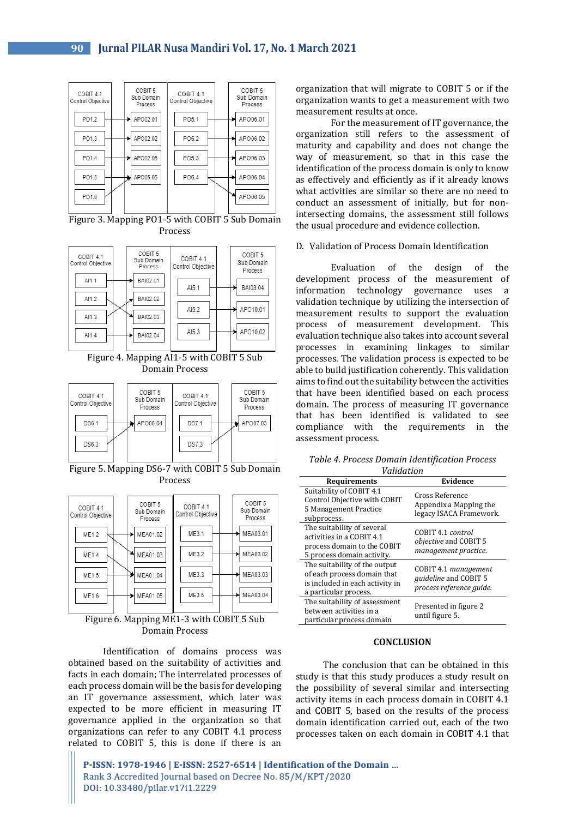

Figure 3. Mapping PO1-5 with COBIT 5 Sub Domain Process



Figure 4. Mapping AI1-5 with COBIT 5 Sub Domain Process



Figure 5. Mapping DS6-7 with COBIT 5 Sub Domain Process



Figure 6. Mapping ME1-3 with COBIT 5 Sub Domain Process

Identification of domains process was obtained based on the suitability of activities and facts in each domain; The interrelated processes of each process domain will be the basis for developing an IT governance assessment, which later was expected to be more efficient in measuring IT governance applied in the organization so that organizations can refer to any COBIT 4.1 process related to COBIT 5, this is done if there is an

organization that will migrate to COBIT 5 or if the organization wants to get a measurement with two measurement results at once.

For the measurement of IT governance, the organization still refers to the assessment of maturity and capability and does not change the way of measurement, so that in this case the identification of the process domain is only to know as effectively and efficiently as if it already knows what activities are similar so there are no need to conduct an assessment of initially, but for nonintersecting domains, the assessment still follows the usual procedure and evidence collection.

#### D. Validation of Process Domain Identification

Evaluation of the design of the development process of the measurement of information technology governance uses a validation technique by utilizing the intersection of measurement results to support the evaluation process of measurement development. This evaluation technique also takes into account several processes in examining linkages to similar processes. The validation process is expected to be able to build justification coherently. This validation aims to find out the suitability between the activities that have been identified based on each process domain. The process of measuring IT governance that has been identified is validated to see compliance with the requirements in the assessment process.

*Table 4. Process Domain Identification Process Validation*

| <u>unuuttu k</u>                                                                                                         |                                                                                  |  |
|--------------------------------------------------------------------------------------------------------------------------|----------------------------------------------------------------------------------|--|
| <b>Requirements</b>                                                                                                      | Evidence                                                                         |  |
| Suitability of COBIT 4.1<br>Control Objective with COBIT<br>5 Management Practice<br>subprocess.                         | Cross Reference<br>Appendix a Mapping the<br>legacy ISACA Framework.             |  |
| The suitability of several<br>activities in a COBIT 4.1<br>process domain to the COBIT<br>5 process domain activity.     | COBIT 4.1 control<br><i>objective</i> and COBIT 5<br>management practice.        |  |
| The suitability of the output<br>of each process domain that<br>is included in each activity in<br>a particular process. | COBIT 4.1 management<br><i>guideline</i> and COBIT 5<br>process reference quide. |  |
| The suitability of assessment<br>between activities in a<br>particular process domain                                    | Presented in figure 2<br>until figure 5.                                         |  |

#### **CONCLUSION**

The conclusion that can be obtained in this study is that this study produces a study result on the possibility of several similar and intersecting activity items in each process domain in COBIT 4.1 and COBIT 5, based on the results of the process domain identification carried out, each of the two processes taken on each domain in COBIT 4.1 that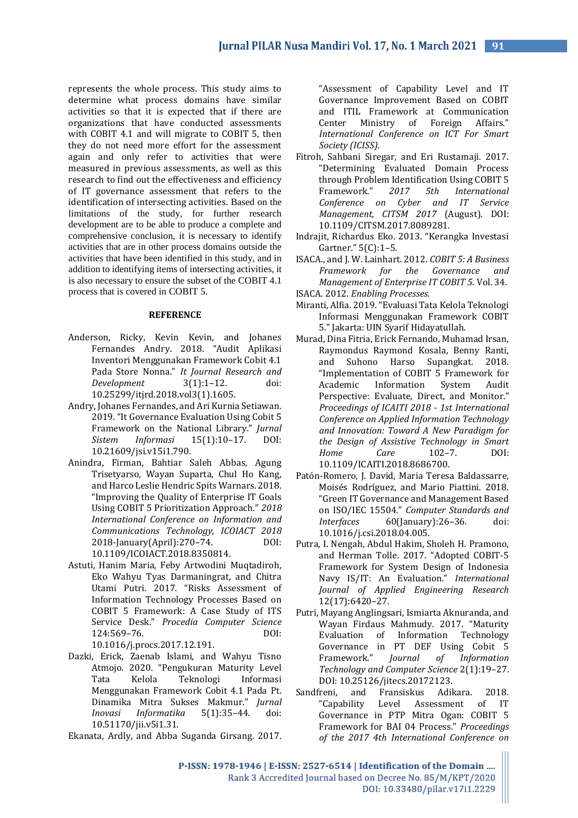represents the whole process. This study aims to determine what process domains have similar activities so that it is expected that if there are organizations that have conducted assessments with COBIT 4.1 and will migrate to COBIT 5, then they do not need more effort for the assessment again and only refer to activities that were measured in previous assessments, as well as this research to find out the effectiveness and efficiency of IT governance assessment that refers to the identification of intersecting activities. Based on the limitations of the study, for further research development are to be able to produce a complete and comprehensive conclusion, it is necessary to identify activities that are in other process domains outside the activities that have been identified in this study, and in addition to identifying items of intersecting activities, it is also necessary to ensure the subset of the COBIT 4.1 process that is covered in COBIT 5.

#### **REFERENCE**

- Anderson, Ricky, Kevin Kevin, and Johanes Fernandes Andry. 2018. "Audit Aplikasi Inventori Menggunakan Framework Cobit 4.1 Pada Store Nonna." *It Journal Research and Development* 3(1):1–12. doi: 10.25299/itjrd.2018.vol3(1).1605.
- Andry, Johanes Fernandes, and Ari Kurnia Setiawan. 2019. "It Governance Evaluation Using Cobit 5 Framework on the National Library." *Jurnal Sistem Informasi* 15(1):10–17. DOI: 10.21609/jsi.v15i1.790.
- Anindra, Firman, Bahtiar Saleh Abbas, Agung Trisetyarso, Wayan Suparta, Chul Ho Kang, and Harco Leslie Hendric Spits Warnars. 2018. "Improving the Quality of Enterprise IT Goals Using COBIT 5 Prioritization Approach." *2018 International Conference on Information and Communications Technology, ICOIACT 2018* 2018-January(April):270–74. DOI: 10.1109/ICOIACT.2018.8350814.
- Astuti, Hanim Maria, Feby Artwodini Muqtadiroh, Eko Wahyu Tyas Darmaningrat, and Chitra Utami Putri. 2017. "Risks Assessment of Information Technology Processes Based on COBIT 5 Framework: A Case Study of ITS Service Desk." *Procedia Computer Science* 124:569–76. DOI:

10.1016/j.procs.2017.12.191.

Dazki, Erick, Zaenab Islami, and Wahyu Tisno Atmojo. 2020. "Pengukuran Maturity Level Tata Kelola Teknologi Informasi Menggunakan Framework Cobit 4.1 Pada Pt. Dinamika Mitra Sukses Makmur." *Jurnal Inovasi Informatika* 5(1):35–44. doi: 10.51170/jii.v5i1.31.

Ekanata, Ardly, and Abba Suganda Girsang. 2017.

"Assessment of Capability Level and IT Governance Improvement Based on COBIT and ITIL Framework at Communication Center Ministry of Foreign Affairs." *International Conference on ICT For Smart Society (ICISS)*.

- Fitroh, Sahbani Siregar, and Eri Rustamaji. 2017. "Determining Evaluated Domain Process through Problem Identification Using COBIT 5 Framework." *2017 5th International Conference on Cyber and IT Service Management, CITSM 2017* (August). DOI: 10.1109/CITSM.2017.8089281.
- Indrajit, Richardus Eko. 2013. "Kerangka Investasi Gartner." 5(C):1–5.
- ISACA., and J. W. Lainhart. 2012. *COBIT 5: A Business Framework for the Governance and Management of Enterprise IT COBIT 5*. Vol. 34. ISACA. 2012. *Enabling Processes*.
- Miranti, Alfia. 2019. "Evaluasi Tata Kelola Teknologi Informasi Menggunakan Framework COBIT 5." Jakarta: UIN Syarif Hidayatullah.
- Murad, Dina Fitria, Erick Fernando, Muhamad Irsan, Raymondus Raymond Kosala, Benny Ranti, and Suhono Harso Supangkat. 2018. "Implementation of COBIT 5 Framework for Academic Information System Audit Perspective: Evaluate, Direct, and Monitor." *Proceedings of ICAITI 2018 - 1st International Conference on Applied Information Technology and Innovation: Toward A New Paradigm for the Design of Assistive Technology in Smart Home Care* 102–7. DOI: 10.1109/ICAITI.2018.8686700.
- Patón-Romero, J. David, Maria Teresa Baldassarre, Moisés Rodríguez, and Mario Piattini. 2018. "Green IT Governance and Management Based on ISO/IEC 15504." *Computer Standards and Interfaces* 60(January):26–36. doi: 10.1016/j.csi.2018.04.005.
- Putra, I. Nengah, Abdul Hakim, Sholeh H. Pramono, and Herman Tolle. 2017. "Adopted COBIT-5 Framework for System Design of Indonesia Navy IS/IT: An Evaluation." *International Journal of Applied Engineering Research* 12(17):6420–27.
- Putri, Mayang Anglingsari, Ismiarta Aknuranda, and Wayan Firdaus Mahmudy. 2017. "Maturity Evaluation of Information Technology Governance in PT DEF Using Cobit 5<br>Framework." *Journal of Information* Framework." *Journal of Information Technology and Computer Science* 2(1):19–27. DOI: 10.25126/jitecs.20172123.
- Sandfreni, and Fransiskus Adikara. 2018. "Capability Level Assessment of IT Governance in PTP Mitra Ogan: COBIT 5 Framework for BAI 04 Process." *Proceedings of the 2017 4th International Conference on*